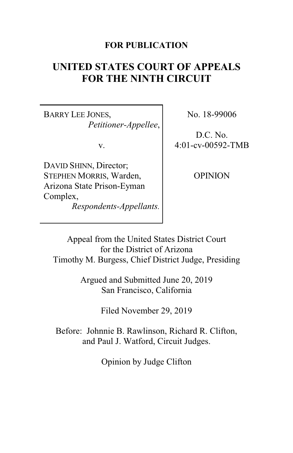### **FOR PUBLICATION**

# **UNITED STATES COURT OF APPEALS FOR THE NINTH CIRCUIT**

BARRY LEE JONES, *Petitioner-Appellee*,

v.

DAVID SHINN, Director; STEPHEN MORRIS, Warden, Arizona State Prison-Eyman Complex, *Respondents-Appellants.* No. 18-99006

D.C. No. 4:01-cv-00592-TMB

OPINION

Appeal from the United States District Court for the District of Arizona Timothy M. Burgess, Chief District Judge, Presiding

> Argued and Submitted June 20, 2019 San Francisco, California

> > Filed November 29, 2019

Before: Johnnie B. Rawlinson, Richard R. Clifton, and Paul J. Watford, Circuit Judges.

Opinion by Judge Clifton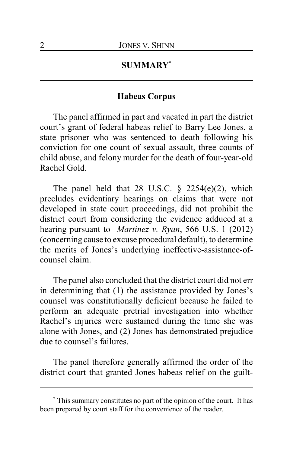### **SUMMARY\***

### **Habeas Corpus**

The panel affirmed in part and vacated in part the district court's grant of federal habeas relief to Barry Lee Jones, a state prisoner who was sentenced to death following his conviction for one count of sexual assault, three counts of child abuse, and felony murder for the death of four-year-old Rachel Gold.

The panel held that 28 U.S.C.  $\S$  2254(e)(2), which precludes evidentiary hearings on claims that were not developed in state court proceedings, did not prohibit the district court from considering the evidence adduced at a hearing pursuant to *Martinez v. Ryan*, 566 U.S. 1 (2012) (concerning cause to excuse procedural default), to determine the merits of Jones's underlying ineffective-assistance-ofcounsel claim.

The panel also concluded that the district court did not err in determining that (1) the assistance provided by Jones's counsel was constitutionally deficient because he failed to perform an adequate pretrial investigation into whether Rachel's injuries were sustained during the time she was alone with Jones, and (2) Jones has demonstrated prejudice due to counsel's failures.

The panel therefore generally affirmed the order of the district court that granted Jones habeas relief on the guilt-

**<sup>\*</sup>** This summary constitutes no part of the opinion of the court. It has been prepared by court staff for the convenience of the reader.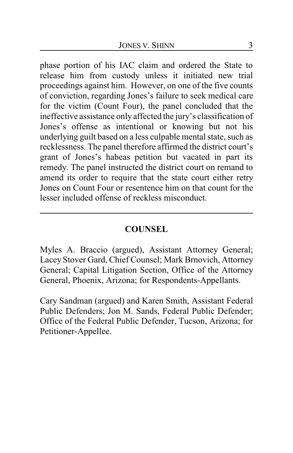phase portion of his IAC claim and ordered the State to release him from custody unless it initiated new trial proceedings against him. However, on one of the five counts of conviction, regarding Jones's failure to seek medical care for the victim (Count Four), the panel concluded that the ineffective assistance only affected the jury's classification of Jones's offense as intentional or knowing but not his underlying guilt based on a less culpable mental state, such as recklessness. The panel therefore affirmed the district court's grant of Jones's habeas petition but vacated in part its remedy. The panel instructed the district court on remand to amend its order to require that the state court either retry Jones on Count Four or resentence him on that count for the lesser included offense of reckless misconduct.

### **COUNSEL**

Myles A. Braccio (argued), Assistant Attorney General; Lacey Stover Gard, Chief Counsel; Mark Brnovich, Attorney General; Capital Litigation Section, Office of the Attorney General, Phoenix, Arizona; for Respondents-Appellants.

Cary Sandman (argued) and Karen Smith, Assistant Federal Public Defenders; Jon M. Sands, Federal Public Defender; Office of the Federal Public Defender, Tucson, Arizona; for Petitioner-Appellee.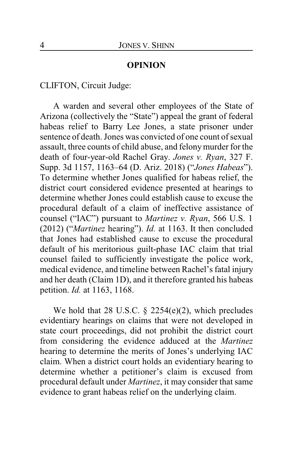#### **OPINION**

CLIFTON, Circuit Judge:

A warden and several other employees of the State of Arizona (collectively the "State") appeal the grant of federal habeas relief to Barry Lee Jones, a state prisoner under sentence of death. Jones was convicted of one count of sexual assault, three counts of child abuse, and felonymurder for the death of four-year-old Rachel Gray. *Jones v. Ryan*, 327 F. Supp. 3d 1157, 1163–64 (D. Ariz. 2018) ("*Jones Habeas*"). To determine whether Jones qualified for habeas relief, the district court considered evidence presented at hearings to determine whether Jones could establish cause to excuse the procedural default of a claim of ineffective assistance of counsel ("IAC") pursuant to *Martinez v. Ryan*, 566 U.S. 1 (2012) ("*Martinez* hearing"). *Id.* at 1163. It then concluded that Jones had established cause to excuse the procedural default of his meritorious guilt-phase IAC claim that trial counsel failed to sufficiently investigate the police work, medical evidence, and timeline between Rachel's fatal injury and her death (Claim 1D), and it therefore granted his habeas petition. *Id.* at 1163, 1168.

We hold that 28 U.S.C.  $\S$  2254(e)(2), which precludes evidentiary hearings on claims that were not developed in state court proceedings, did not prohibit the district court from considering the evidence adduced at the *Martinez* hearing to determine the merits of Jones's underlying IAC claim. When a district court holds an evidentiary hearing to determine whether a petitioner's claim is excused from procedural default under *Martinez*, it may consider that same evidence to grant habeas relief on the underlying claim.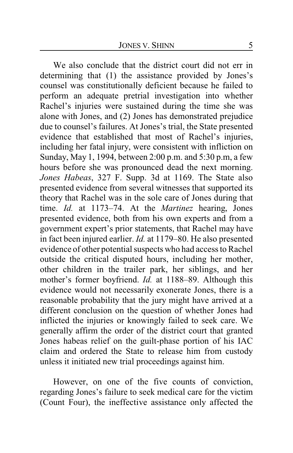We also conclude that the district court did not err in determining that (1) the assistance provided by Jones's counsel was constitutionally deficient because he failed to perform an adequate pretrial investigation into whether Rachel's injuries were sustained during the time she was alone with Jones, and (2) Jones has demonstrated prejudice due to counsel's failures. At Jones's trial, the State presented evidence that established that most of Rachel's injuries, including her fatal injury, were consistent with infliction on Sunday, May 1, 1994, between 2:00 p.m. and 5:30 p.m, a few hours before she was pronounced dead the next morning. *Jones Habeas*, 327 F. Supp. 3d at 1169. The State also presented evidence from several witnesses that supported its theory that Rachel was in the sole care of Jones during that time. *Id.* at 1173–74. At the *Martinez* hearing, Jones presented evidence, both from his own experts and from a government expert's prior statements, that Rachel may have in fact been injured earlier. *Id.* at 1179–80. He also presented evidence of other potential suspects who had access to Rachel outside the critical disputed hours, including her mother, other children in the trailer park, her siblings, and her mother's former boyfriend. *Id.* at 1188–89. Although this evidence would not necessarily exonerate Jones, there is a reasonable probability that the jury might have arrived at a different conclusion on the question of whether Jones had inflicted the injuries or knowingly failed to seek care. We generally affirm the order of the district court that granted Jones habeas relief on the guilt-phase portion of his IAC claim and ordered the State to release him from custody unless it initiated new trial proceedings against him.

However, on one of the five counts of conviction, regarding Jones's failure to seek medical care for the victim (Count Four), the ineffective assistance only affected the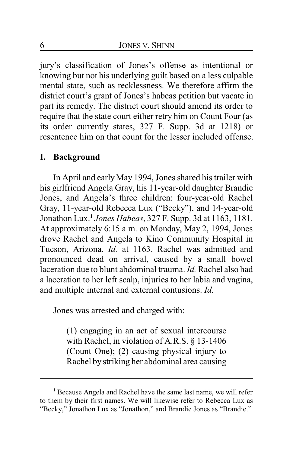jury's classification of Jones's offense as intentional or knowing but not his underlying guilt based on a less culpable mental state, such as recklessness. We therefore affirm the district court's grant of Jones's habeas petition but vacate in part its remedy. The district court should amend its order to require that the state court either retry him on Count Four (as its order currently states, 327 F. Supp. 3d at 1218) or resentence him on that count for the lesser included offense.

#### **I. Background**

In April and earlyMay 1994, Jones shared his trailer with his girlfriend Angela Gray, his 11-year-old daughter Brandie Jones, and Angela's three children: four-year-old Rachel Gray, 11-year-old Rebecca Lux ("Becky"), and 14-year-old Jonathon Lux. **1** *Jones Habeas*, 327 F. Supp. 3d at 1163, 1181. At approximately 6:15 a.m. on Monday, May 2, 1994, Jones drove Rachel and Angela to Kino Community Hospital in Tucson, Arizona. *Id.* at 1163. Rachel was admitted and pronounced dead on arrival, caused by a small bowel laceration due to blunt abdominal trauma. *Id.* Rachel also had a laceration to her left scalp, injuries to her labia and vagina, and multiple internal and external contusions. *Id.*

Jones was arrested and charged with:

(1) engaging in an act of sexual intercourse with Rachel, in violation of A.R.S. § 13-1406 (Count One); (2) causing physical injury to Rachel by striking her abdominal area causing

**<sup>1</sup>** Because Angela and Rachel have the same last name, we will refer to them by their first names. We will likewise refer to Rebecca Lux as "Becky," Jonathon Lux as "Jonathon," and Brandie Jones as "Brandie."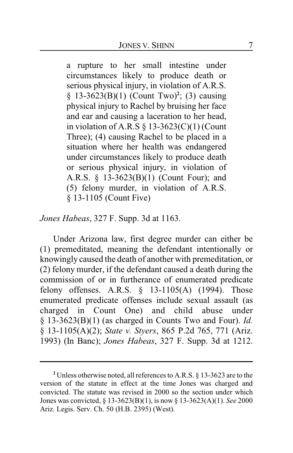a rupture to her small intestine under circumstances likely to produce death or serious physical injury, in violation of A.R.S. § 13-3623(B)(1) (Count Two)**<sup>2</sup>** ; (3) causing physical injury to Rachel by bruising her face and ear and causing a laceration to her head, in violation of A.R.S  $\S$  13-3623(C)(1) (Count Three); (4) causing Rachel to be placed in a situation where her health was endangered under circumstances likely to produce death or serious physical injury, in violation of A.R.S. § 13-3623(B)(1) (Count Four); and (5) felony murder, in violation of A.R.S. § 13-1105 (Count Five)

*Jones Habeas*, 327 F. Supp. 3d at 1163.

Under Arizona law, first degree murder can either be (1) premeditated, meaning the defendant intentionally or knowingly caused the death of another with premeditation, or (2) felony murder, if the defendant caused a death during the commission of or in furtherance of enumerated predicate felony offenses. A.R.S. § 13-1105(A) (1994). Those enumerated predicate offenses include sexual assault (as charged in Count One) and child abuse under § 13-3623(B)(1) (as charged in Counts Two and Four). *Id.* § 13-1105(A)(2); *State v. Styers*, 865 P.2d 765, 771 (Ariz. 1993) (In Banc); *Jones Habeas*, 327 F. Supp. 3d at 1212.

**<sup>2</sup>** Unless otherwise noted, all references to A.R.S. § 13-3623 are to the version of the statute in effect at the time Jones was charged and convicted. The statute was revised in 2000 so the section under which Jones was convicted, § 13-3623(B)(1), is now § 13-3623(A)(1). *See* 2000 Ariz. Legis. Serv. Ch. 50 (H.B. 2395) (West).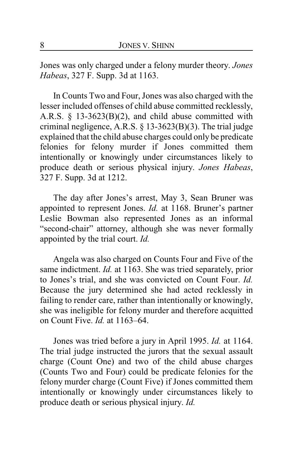Jones was only charged under a felony murder theory. *Jones Habeas*, 327 F. Supp. 3d at 1163.

In Counts Two and Four, Jones was also charged with the lesser included offenses of child abuse committed recklessly, A.R.S. § 13-3623(B)(2), and child abuse committed with criminal negligence, A.R.S. § 13-3623(B)(3). The trial judge explained that the child abuse charges could only be predicate felonies for felony murder if Jones committed them intentionally or knowingly under circumstances likely to produce death or serious physical injury. *Jones Habeas*, 327 F. Supp. 3d at 1212.

The day after Jones's arrest, May 3, Sean Bruner was appointed to represent Jones. *Id.* at 1168. Bruner's partner Leslie Bowman also represented Jones as an informal "second-chair" attorney, although she was never formally appointed by the trial court. *Id.*

Angela was also charged on Counts Four and Five of the same indictment. *Id.* at 1163. She was tried separately, prior to Jones's trial, and she was convicted on Count Four. *Id.* Because the jury determined she had acted recklessly in failing to render care, rather than intentionally or knowingly, she was ineligible for felony murder and therefore acquitted on Count Five. *Id.* at 1163–64.

Jones was tried before a jury in April 1995. *Id.* at 1164. The trial judge instructed the jurors that the sexual assault charge (Count One) and two of the child abuse charges (Counts Two and Four) could be predicate felonies for the felony murder charge (Count Five) if Jones committed them intentionally or knowingly under circumstances likely to produce death or serious physical injury. *Id.*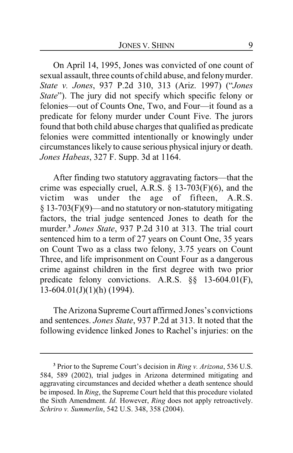On April 14, 1995, Jones was convicted of one count of sexual assault, three counts of child abuse, and felonymurder. *State v. Jones*, 937 P.2d 310, 313 (Ariz. 1997) ("*Jones State*"). The jury did not specify which specific felony or felonies—out of Counts One, Two, and Four—it found as a predicate for felony murder under Count Five. The jurors found that both child abuse charges that qualified as predicate felonies were committed intentionally or knowingly under circumstances likely to cause serious physical injury or death. *Jones Habeas*, 327 F. Supp. 3d at 1164.

After finding two statutory aggravating factors—that the crime was especially cruel, A.R.S.  $\S$  13-703(F)(6), and the victim was under the age of fifteen, A.R.S. § 13-703(F)(9)—and no statutory or non-statutory mitigating factors, the trial judge sentenced Jones to death for the murder.**<sup>3</sup>** *Jones State*, 937 P.2d 310 at 313. The trial court sentenced him to a term of 27 years on Count One, 35 years on Count Two as a class two felony, 3.75 years on Count Three, and life imprisonment on Count Four as a dangerous crime against children in the first degree with two prior predicate felony convictions. A.R.S. §§ 13-604.01(F),  $13-604.01(J)(1)(h)$  (1994).

The Arizona Supreme Court affirmed Jones's convictions and sentences. *Jones State*, 937 P.2d at 313. It noted that the following evidence linked Jones to Rachel's injuries: on the

**<sup>3</sup>** Prior to the Supreme Court's decision in *Ring v. Arizona*, 536 U.S. 584, 589 (2002), trial judges in Arizona determined mitigating and aggravating circumstances and decided whether a death sentence should be imposed. In *Ring*, the Supreme Court held that this procedure violated the Sixth Amendment. *Id.* However, *Ring* does not apply retroactively. *Schriro v. Summerlin*, 542 U.S. 348, 358 (2004).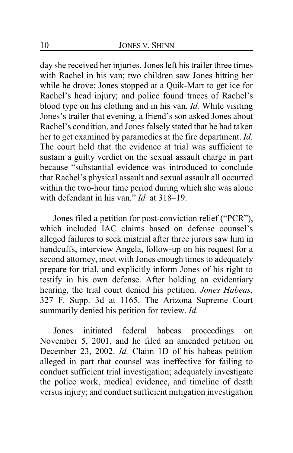day she received her injuries, Jones left his trailer three times with Rachel in his van; two children saw Jones hitting her while he drove; Jones stopped at a Quik-Mart to get ice for Rachel's head injury; and police found traces of Rachel's blood type on his clothing and in his van. *Id.* While visiting Jones's trailer that evening, a friend's son asked Jones about Rachel's condition, and Jones falsely stated that he had taken her to get examined by paramedics at the fire department. *Id.* The court held that the evidence at trial was sufficient to sustain a guilty verdict on the sexual assault charge in part because "substantial evidence was introduced to conclude that Rachel's physical assault and sexual assault all occurred within the two-hour time period during which she was alone with defendant in his van." *Id.* at 318–19.

Jones filed a petition for post-conviction relief ("PCR"), which included IAC claims based on defense counsel's alleged failures to seek mistrial after three jurors saw him in handcuffs, interview Angela, follow-up on his request for a second attorney, meet with Jones enough times to adequately prepare for trial, and explicitly inform Jones of his right to testify in his own defense. After holding an evidentiary hearing, the trial court denied his petition. *Jones Habeas*, 327 F. Supp. 3d at 1165. The Arizona Supreme Court summarily denied his petition for review. *Id.*

Jones initiated federal habeas proceedings on November 5, 2001, and he filed an amended petition on December 23, 2002. *Id.* Claim 1D of his habeas petition alleged in part that counsel was ineffective for failing to conduct sufficient trial investigation; adequately investigate the police work, medical evidence, and timeline of death versus injury; and conduct sufficient mitigation investigation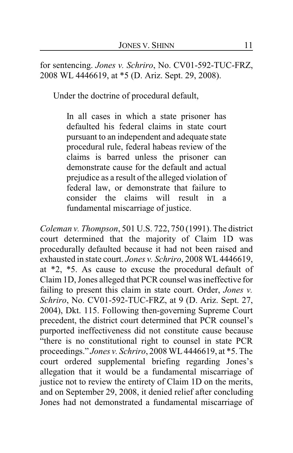for sentencing. *Jones v. Schriro*, No. CV01-592-TUC-FRZ, 2008 WL 4446619, at \*5 (D. Ariz. Sept. 29, 2008).

Under the doctrine of procedural default,

In all cases in which a state prisoner has defaulted his federal claims in state court pursuant to an independent and adequate state procedural rule, federal habeas review of the claims is barred unless the prisoner can demonstrate cause for the default and actual prejudice as a result of the alleged violation of federal law, or demonstrate that failure to consider the claims will result in a fundamental miscarriage of justice.

*Coleman v. Thompson*, 501 U.S. 722, 750 (1991). The district court determined that the majority of Claim 1D was procedurally defaulted because it had not been raised and exhausted in state court. *Jones v. Schriro*, 2008 WL 4446619, at \*2, \*5. As cause to excuse the procedural default of Claim 1D, Jones alleged that PCR counsel was ineffective for failing to present this claim in state court. Order, *Jones v. Schriro*, No. CV01-592-TUC-FRZ, at 9 (D. Ariz. Sept. 27, 2004), Dkt. 115. Following then-governing Supreme Court precedent, the district court determined that PCR counsel's purported ineffectiveness did not constitute cause because "there is no constitutional right to counsel in state PCR proceedings." *Jones v. Schriro*, 2008 WL4446619, at \*5. The court ordered supplemental briefing regarding Jones's allegation that it would be a fundamental miscarriage of justice not to review the entirety of Claim 1D on the merits, and on September 29, 2008, it denied relief after concluding Jones had not demonstrated a fundamental miscarriage of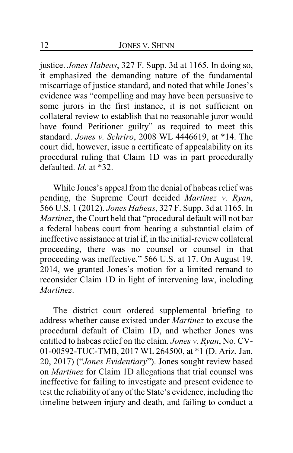justice. *Jones Habeas*, 327 F. Supp. 3d at 1165. In doing so, it emphasized the demanding nature of the fundamental miscarriage of justice standard, and noted that while Jones's evidence was "compelling and may have been persuasive to some jurors in the first instance, it is not sufficient on collateral review to establish that no reasonable juror would have found Petitioner guilty" as required to meet this standard. *Jones v. Schriro*, 2008 WL 4446619, at \*14. The court did, however, issue a certificate of appealability on its procedural ruling that Claim 1D was in part procedurally defaulted. *Id.* at \*32.

While Jones's appeal from the denial of habeas relief was pending, the Supreme Court decided *Martinez v. Ryan*, 566 U.S. 1 (2012). *Jones Habeas*, 327 F. Supp. 3d at 1165. In *Martinez*, the Court held that "procedural default will not bar a federal habeas court from hearing a substantial claim of ineffective assistance at trial if, in the initial-review collateral proceeding, there was no counsel or counsel in that proceeding was ineffective." 566 U.S. at 17. On August 19, 2014, we granted Jones's motion for a limited remand to reconsider Claim 1D in light of intervening law, including *Martinez*.

The district court ordered supplemental briefing to address whether cause existed under *Martinez* to excuse the procedural default of Claim 1D, and whether Jones was entitled to habeas relief on the claim. *Jones v. Ryan*, No. CV-01-00592-TUC-TMB, 2017 WL 264500, at \*1 (D. Ariz. Jan. 20, 2017) ("*Jones Evidentiary*"). Jones sought review based on *Martinez* for Claim 1D allegations that trial counsel was ineffective for failing to investigate and present evidence to test the reliability of any of the State's evidence, including the timeline between injury and death, and failing to conduct a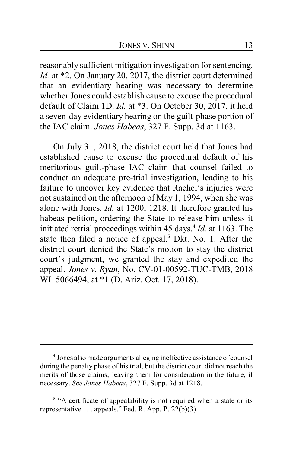reasonably sufficient mitigation investigation for sentencing. *Id.* at \*2. On January 20, 2017, the district court determined that an evidentiary hearing was necessary to determine whether Jones could establish cause to excuse the procedural default of Claim 1D. *Id.* at \*3. On October 30, 2017, it held a seven-day evidentiary hearing on the guilt-phase portion of the IAC claim. *Jones Habeas*, 327 F. Supp. 3d at 1163.

On July 31, 2018, the district court held that Jones had established cause to excuse the procedural default of his meritorious guilt-phase IAC claim that counsel failed to conduct an adequate pre-trial investigation, leading to his failure to uncover key evidence that Rachel's injuries were not sustained on the afternoon of May 1, 1994, when she was alone with Jones. *Id.* at 1200, 1218. It therefore granted his habeas petition, ordering the State to release him unless it initiated retrial proceedings within 45 days.**<sup>4</sup>** *Id.* at 1163. The state then filed a notice of appeal.**<sup>5</sup>** Dkt. No. 1. After the district court denied the State's motion to stay the district court's judgment, we granted the stay and expedited the appeal. *Jones v. Ryan*, No. CV-01-00592-TUC-TMB, 2018 WL 5066494, at \*1 (D. Ariz. Oct. 17, 2018).

**<sup>4</sup>** Jones also made arguments alleging ineffective assistance of counsel during the penalty phase of his trial, but the district court did not reach the merits of those claims, leaving them for consideration in the future, if necessary. *See Jones Habeas*, 327 F. Supp. 3d at 1218.

<sup>&</sup>lt;sup>5</sup> "A certificate of appealability is not required when a state or its representative . . . appeals." Fed. R. App. P. 22(b)(3).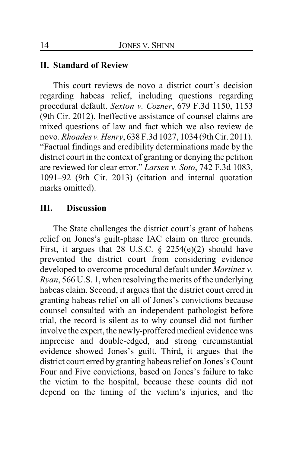#### **II. Standard of Review**

This court reviews de novo a district court's decision regarding habeas relief, including questions regarding procedural default. *Sexton v. Cozner*, 679 F.3d 1150, 1153 (9th Cir. 2012). Ineffective assistance of counsel claims are mixed questions of law and fact which we also review de novo. *Rhoades v. Henry*, 638 F.3d 1027, 1034 (9th Cir. 2011). "Factual findings and credibility determinations made by the district court in the context of granting or denying the petition are reviewed for clear error." *Larsen v. Soto*, 742 F.3d 1083, 1091–92 (9th Cir. 2013) (citation and internal quotation marks omitted).

#### **III. Discussion**

The State challenges the district court's grant of habeas relief on Jones's guilt-phase IAC claim on three grounds. First, it argues that 28 U.S.C.  $\S$  2254(e)(2) should have prevented the district court from considering evidence developed to overcome procedural default under *Martinez v. Ryan*, 566 U.S. 1, when resolving the merits of the underlying habeas claim. Second, it argues that the district court erred in granting habeas relief on all of Jones's convictions because counsel consulted with an independent pathologist before trial, the record is silent as to why counsel did not further involve the expert, the newly-proffered medical evidence was imprecise and double-edged, and strong circumstantial evidence showed Jones's guilt. Third, it argues that the district court erred by granting habeas relief on Jones's Count Four and Five convictions, based on Jones's failure to take the victim to the hospital, because these counts did not depend on the timing of the victim's injuries, and the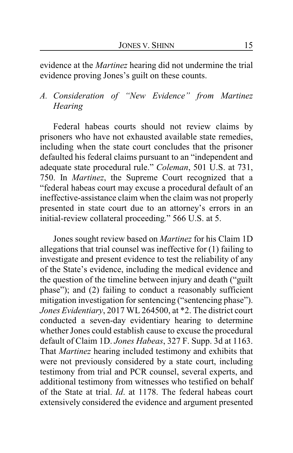evidence at the *Martinez* hearing did not undermine the trial evidence proving Jones's guilt on these counts.

# *A. Consideration of "New Evidence" from Martinez Hearing*

Federal habeas courts should not review claims by prisoners who have not exhausted available state remedies, including when the state court concludes that the prisoner defaulted his federal claims pursuant to an "independent and adequate state procedural rule." *Coleman*, 501 U.S. at 731, 750. In *Martinez*, the Supreme Court recognized that a "federal habeas court may excuse a procedural default of an ineffective-assistance claim when the claim was not properly presented in state court due to an attorney's errors in an initial-review collateral proceeding." 566 U.S. at 5.

Jones sought review based on *Martinez* for his Claim 1D allegations that trial counsel was ineffective for (1) failing to investigate and present evidence to test the reliability of any of the State's evidence, including the medical evidence and the question of the timeline between injury and death ("guilt phase"); and (2) failing to conduct a reasonably sufficient mitigation investigation for sentencing ("sentencing phase"). *Jones Evidentiary*, 2017 WL 264500, at \*2. The district court conducted a seven-day evidentiary hearing to determine whether Jones could establish cause to excuse the procedural default of Claim 1D. *Jones Habeas*, 327 F. Supp. 3d at 1163. That *Martinez* hearing included testimony and exhibits that were not previously considered by a state court, including testimony from trial and PCR counsel, several experts, and additional testimony from witnesses who testified on behalf of the State at trial. *Id*. at 1178. The federal habeas court extensively considered the evidence and argument presented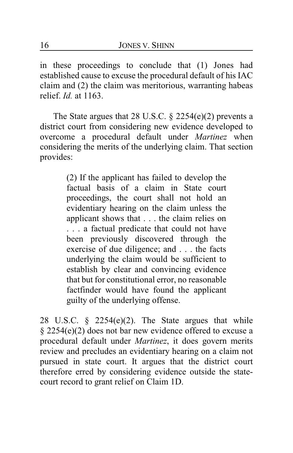in these proceedings to conclude that (1) Jones had established cause to excuse the procedural default of his IAC claim and (2) the claim was meritorious, warranting habeas relief. *Id.* at 1163.

The State argues that 28 U.S.C. § 2254(e)(2) prevents a district court from considering new evidence developed to overcome a procedural default under *Martinez* when considering the merits of the underlying claim. That section provides:

> (2) If the applicant has failed to develop the factual basis of a claim in State court proceedings, the court shall not hold an evidentiary hearing on the claim unless the applicant shows that . . . the claim relies on . . . a factual predicate that could not have been previously discovered through the exercise of due diligence; and . . . the facts underlying the claim would be sufficient to establish by clear and convincing evidence that but for constitutional error, no reasonable factfinder would have found the applicant guilty of the underlying offense.

28 U.S.C.  $\frac{1}{2}$  2254(e)(2). The State argues that while § 2254(e)(2) does not bar new evidence offered to excuse a procedural default under *Martinez*, it does govern merits review and precludes an evidentiary hearing on a claim not pursued in state court. It argues that the district court therefore erred by considering evidence outside the statecourt record to grant relief on Claim 1D.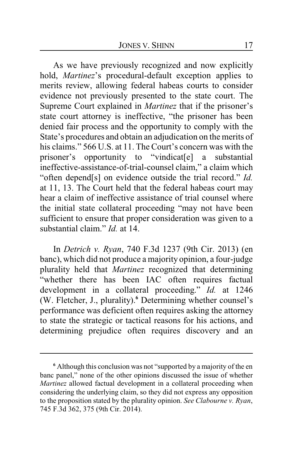As we have previously recognized and now explicitly hold, *Martinez*'s procedural-default exception applies to merits review, allowing federal habeas courts to consider evidence not previously presented to the state court. The Supreme Court explained in *Martinez* that if the prisoner's state court attorney is ineffective, "the prisoner has been denied fair process and the opportunity to comply with the State's procedures and obtain an adjudication on the merits of his claims." 566 U.S. at 11. The Court's concern was with the prisoner's opportunity to "vindicat[e] a substantial ineffective-assistance-of-trial-counsel claim," a claim which "often depend[s] on evidence outside the trial record." *Id.* at 11, 13. The Court held that the federal habeas court may hear a claim of ineffective assistance of trial counsel where the initial state collateral proceeding "may not have been sufficient to ensure that proper consideration was given to a substantial claim." *Id.* at 14.

In *Detrich v. Ryan*, 740 F.3d 1237 (9th Cir. 2013) (en banc), which did not produce a majority opinion, a four-judge plurality held that *Martinez* recognized that determining "whether there has been IAC often requires factual development in a collateral proceeding." *Id.* at 1246 (W. Fletcher, J., plurality).**<sup>6</sup>** Determining whether counsel's performance was deficient often requires asking the attorney to state the strategic or tactical reasons for his actions, and determining prejudice often requires discovery and an

**<sup>6</sup>** Although this conclusion was not "supported by a majority of the en banc panel," none of the other opinions discussed the issue of whether *Martinez* allowed factual development in a collateral proceeding when considering the underlying claim, so they did not express any opposition to the proposition stated by the plurality opinion. *See Clabourne v. Ryan*, 745 F.3d 362, 375 (9th Cir. 2014).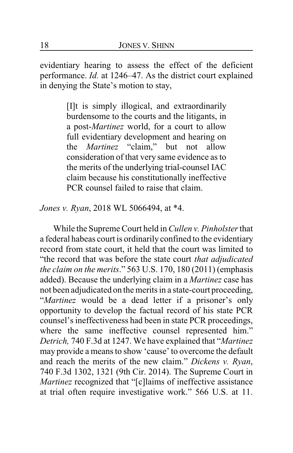evidentiary hearing to assess the effect of the deficient performance. *Id.* at 1246–47. As the district court explained in denying the State's motion to stay,

> [I]t is simply illogical, and extraordinarily burdensome to the courts and the litigants, in a post-*Martinez* world, for a court to allow full evidentiary development and hearing on the *Martinez* "claim," but not allow consideration of that very same evidence as to the merits of the underlying trial-counsel IAC claim because his constitutionally ineffective PCR counsel failed to raise that claim.

*Jones v. Ryan*, 2018 WL 5066494, at \*4.

While the Supreme Court held in *Cullen v. Pinholster*that a federal habeas court is ordinarily confined to the evidentiary record from state court, it held that the court was limited to "the record that was before the state court *that adjudicated the claim on the merits*." 563 U.S. 170, 180 (2011) (emphasis added). Because the underlying claim in a *Martinez* case has not been adjudicated on the merits in a state-court proceeding, "*Martinez* would be a dead letter if a prisoner's only opportunity to develop the factual record of his state PCR counsel's ineffectiveness had been in state PCR proceedings, where the same ineffective counsel represented him." *Detrich,* 740 F.3d at 1247. We have explained that "*Martinez* may provide a means to show 'cause' to overcome the default and reach the merits of the new claim." *Dickens v. Ryan*, 740 F.3d 1302, 1321 (9th Cir. 2014). The Supreme Court in *Martinez* recognized that "[c]laims of ineffective assistance at trial often require investigative work." 566 U.S. at 11.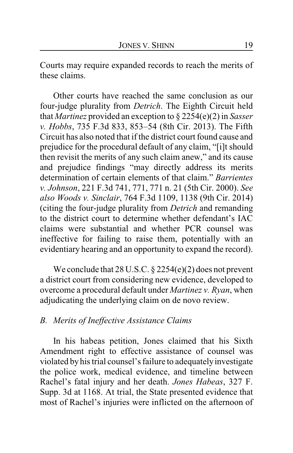Courts may require expanded records to reach the merits of these claims.

Other courts have reached the same conclusion as our four-judge plurality from *Detrich*. The Eighth Circuit held that *Martinez* provided an exception to § 2254(e)(2) in *Sasser v. Hobbs*, 735 F.3d 833, 853–54 (8th Cir. 2013). The Fifth Circuit has also noted that if the district court found cause and prejudice for the procedural default of any claim, "[i]t should then revisit the merits of any such claim anew," and its cause and prejudice findings "may directly address its merits determination of certain elements of that claim." *Barrientes v. Johnson*, 221 F.3d 741, 771, 771 n. 21 (5th Cir. 2000). *See also Woods v. Sinclair*, 764 F.3d 1109, 1138 (9th Cir. 2014) (citing the four-judge plurality from *Detrich* and remanding to the district court to determine whether defendant's IAC claims were substantial and whether PCR counsel was ineffective for failing to raise them, potentially with an evidentiary hearing and an opportunity to expand the record).

We conclude that 28 U.S.C. § 2254(e)(2) does not prevent a district court from considering new evidence, developed to overcome a procedural default under *Martinez v. Ryan*, when adjudicating the underlying claim on de novo review.

### *B. Merits of Ineffective Assistance Claims*

In his habeas petition, Jones claimed that his Sixth Amendment right to effective assistance of counsel was violated by his trial counsel's failure to adequatelyinvestigate the police work, medical evidence, and timeline between Rachel's fatal injury and her death. *Jones Habeas*, 327 F. Supp. 3d at 1168. At trial, the State presented evidence that most of Rachel's injuries were inflicted on the afternoon of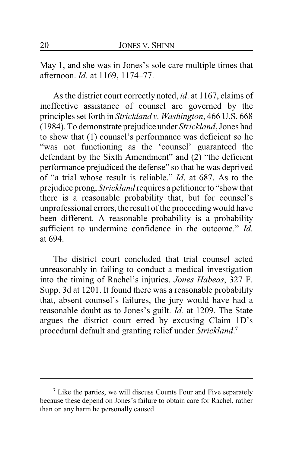May 1, and she was in Jones's sole care multiple times that afternoon. *Id.* at 1169, 1174–77.

As the district court correctly noted, *id*. at 1167, claims of ineffective assistance of counsel are governed by the principles set forth in *Strickland v. Washington*, 466 U.S. 668 (1984). To demonstrate prejudice under *Strickland*, Jones had to show that (1) counsel's performance was deficient so he "was not functioning as the 'counsel' guaranteed the defendant by the Sixth Amendment" and (2) "the deficient performance prejudiced the defense" so that he was deprived of "a trial whose result is reliable." *Id*. at 687. As to the prejudice prong, *Strickland* requires a petitioner to "show that there is a reasonable probability that, but for counsel's unprofessional errors, the result of the proceedingwould have been different. A reasonable probability is a probability sufficient to undermine confidence in the outcome." *Id*. at 694.

The district court concluded that trial counsel acted unreasonably in failing to conduct a medical investigation into the timing of Rachel's injuries. *Jones Habeas*, 327 F. Supp. 3d at 1201. It found there was a reasonable probability that, absent counsel's failures, the jury would have had a reasonable doubt as to Jones's guilt. *Id.* at 1209. The State argues the district court erred by excusing Claim 1D's procedural default and granting relief under *Strickland*. **7**

**<sup>7</sup>** Like the parties, we will discuss Counts Four and Five separately because these depend on Jones's failure to obtain care for Rachel, rather than on any harm he personally caused.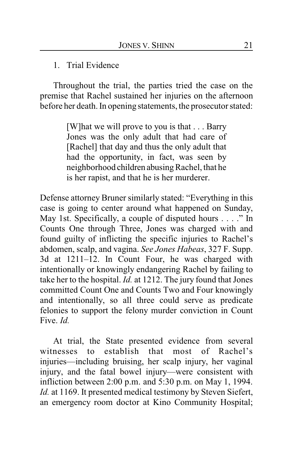### 1. Trial Evidence

Throughout the trial, the parties tried the case on the premise that Rachel sustained her injuries on the afternoon before her death. In opening statements, the prosecutor stated:

> [W]hat we will prove to you is that . . . Barry Jones was the only adult that had care of [Rachel] that day and thus the only adult that had the opportunity, in fact, was seen by neighborhood children abusing Rachel, that he is her rapist, and that he is her murderer.

Defense attorney Bruner similarly stated: "Everything in this case is going to center around what happened on Sunday, May 1st. Specifically, a couple of disputed hours . . . ." In Counts One through Three, Jones was charged with and found guilty of inflicting the specific injuries to Rachel's abdomen, scalp, and vagina. *See Jones Habeas*, 327 F. Supp. 3d at 1211–12. In Count Four, he was charged with intentionally or knowingly endangering Rachel by failing to take her to the hospital. *Id.* at 1212. The jury found that Jones committed Count One and Counts Two and Four knowingly and intentionally, so all three could serve as predicate felonies to support the felony murder conviction in Count Five. *Id.*

At trial, the State presented evidence from several witnesses to establish that most of Rachel's injuries—including bruising, her scalp injury, her vaginal injury, and the fatal bowel injury—were consistent with infliction between 2:00 p.m. and 5:30 p.m. on May 1, 1994. *Id.* at 1169. It presented medical testimony by Steven Siefert, an emergency room doctor at Kino Community Hospital;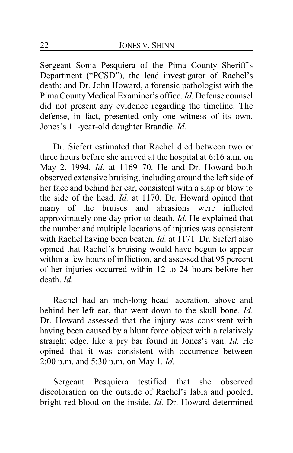Sergeant Sonia Pesquiera of the Pima County Sheriff's Department ("PCSD"), the lead investigator of Rachel's death; and Dr. John Howard, a forensic pathologist with the Pima County Medical Examiner's office. *Id.* Defense counsel did not present any evidence regarding the timeline. The defense, in fact, presented only one witness of its own, Jones's 11-year-old daughter Brandie. *Id.*

Dr. Siefert estimated that Rachel died between two or three hours before she arrived at the hospital at 6:16 a.m. on May 2, 1994. *Id.* at 1169–70. He and Dr. Howard both observed extensive bruising, including around the left side of her face and behind her ear, consistent with a slap or blow to the side of the head. *Id.* at 1170. Dr. Howard opined that many of the bruises and abrasions were inflicted approximately one day prior to death. *Id.* He explained that the number and multiple locations of injuries was consistent with Rachel having been beaten. *Id.* at 1171. Dr. Siefert also opined that Rachel's bruising would have begun to appear within a few hours of infliction, and assessed that 95 percent of her injuries occurred within 12 to 24 hours before her death. *Id.*

Rachel had an inch-long head laceration, above and behind her left ear, that went down to the skull bone. *Id*. Dr. Howard assessed that the injury was consistent with having been caused by a blunt force object with a relatively straight edge, like a pry bar found in Jones's van. *Id.* He opined that it was consistent with occurrence between 2:00 p.m. and 5:30 p.m. on May 1. *Id.*

Sergeant Pesquiera testified that she observed discoloration on the outside of Rachel's labia and pooled, bright red blood on the inside. *Id.* Dr. Howard determined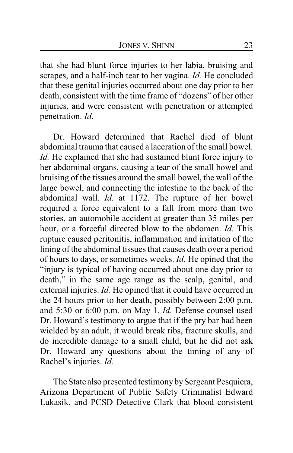that she had blunt force injuries to her labia, bruising and scrapes, and a half-inch tear to her vagina. *Id.* He concluded that these genital injuries occurred about one day prior to her death, consistent with the time frame of "dozens" of her other injuries, and were consistent with penetration or attempted penetration. *Id.*

Dr. Howard determined that Rachel died of blunt abdominal trauma that caused a laceration of the small bowel. *Id.* He explained that she had sustained blunt force injury to her abdominal organs, causing a tear of the small bowel and bruising of the tissues around the small bowel, the wall of the large bowel, and connecting the intestine to the back of the abdominal wall. *Id.* at 1172. The rupture of her bowel required a force equivalent to a fall from more than two stories, an automobile accident at greater than 35 miles per hour, or a forceful directed blow to the abdomen. *Id.* This rupture caused peritonitis, inflammation and irritation of the lining of the abdominal tissues that causes death over a period of hours to days, or sometimes weeks. *Id.* He opined that the "injury is typical of having occurred about one day prior to death," in the same age range as the scalp, genital, and external injuries. *Id.* He opined that it could have occurred in the 24 hours prior to her death, possibly between 2:00 p.m. and 5:30 or 6:00 p.m. on May 1. *Id.* Defense counsel used Dr. Howard's testimony to argue that if the pry bar had been wielded by an adult, it would break ribs, fracture skulls, and do incredible damage to a small child, but he did not ask Dr. Howard any questions about the timing of any of Rachel's injuries. *Id.*

The State also presented testimony by Sergeant Pesquiera, Arizona Department of Public Safety Criminalist Edward Lukasik, and PCSD Detective Clark that blood consistent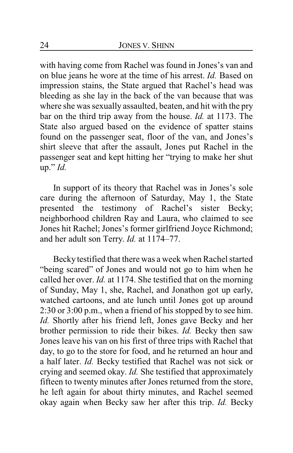with having come from Rachel was found in Jones's van and on blue jeans he wore at the time of his arrest. *Id.* Based on impression stains, the State argued that Rachel's head was bleeding as she lay in the back of the van because that was where she was sexually assaulted, beaten, and hit with the pry bar on the third trip away from the house. *Id.* at 1173. The State also argued based on the evidence of spatter stains found on the passenger seat, floor of the van, and Jones's shirt sleeve that after the assault, Jones put Rachel in the passenger seat and kept hitting her "trying to make her shut up." *Id.*

In support of its theory that Rachel was in Jones's sole care during the afternoon of Saturday, May 1, the State presented the testimony of Rachel's sister Becky; neighborhood children Ray and Laura, who claimed to see Jones hit Rachel; Jones's former girlfriend Joyce Richmond; and her adult son Terry. *Id.* at 1174–77.

Becky testified that there was a week when Rachel started "being scared" of Jones and would not go to him when he called her over. *Id.* at 1174. She testified that on the morning of Sunday, May 1, she, Rachel, and Jonathon got up early, watched cartoons, and ate lunch until Jones got up around 2:30 or 3:00 p.m., when a friend of his stopped by to see him. *Id.* Shortly after his friend left, Jones gave Becky and her brother permission to ride their bikes. *Id.* Becky then saw Jones leave his van on his first of three trips with Rachel that day, to go to the store for food, and he returned an hour and a half later. *Id.* Becky testified that Rachel was not sick or crying and seemed okay. *Id.* She testified that approximately fifteen to twenty minutes after Jones returned from the store, he left again for about thirty minutes, and Rachel seemed okay again when Becky saw her after this trip. *Id.* Becky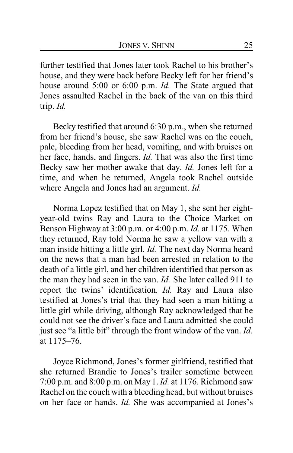further testified that Jones later took Rachel to his brother's house, and they were back before Becky left for her friend's house around 5:00 or 6:00 p.m. *Id.* The State argued that Jones assaulted Rachel in the back of the van on this third trip. *Id.*

Becky testified that around 6:30 p.m., when she returned from her friend's house, she saw Rachel was on the couch, pale, bleeding from her head, vomiting, and with bruises on her face, hands, and fingers. *Id.* That was also the first time Becky saw her mother awake that day. *Id.* Jones left for a time, and when he returned, Angela took Rachel outside where Angela and Jones had an argument. *Id.*

Norma Lopez testified that on May 1, she sent her eightyear-old twins Ray and Laura to the Choice Market on Benson Highway at 3:00 p.m. or 4:00 p.m. *Id.* at 1175. When they returned, Ray told Norma he saw a yellow van with a man inside hitting a little girl. *Id.* The next day Norma heard on the news that a man had been arrested in relation to the death of a little girl, and her children identified that person as the man they had seen in the van. *Id.* She later called 911 to report the twins' identification. *Id.* Ray and Laura also testified at Jones's trial that they had seen a man hitting a little girl while driving, although Ray acknowledged that he could not see the driver's face and Laura admitted she could just see "a little bit" through the front window of the van. *Id.* at 1175–76.

Joyce Richmond, Jones's former girlfriend, testified that she returned Brandie to Jones's trailer sometime between 7:00 p.m. and 8:00 p.m. on May 1. *Id.* at 1176. Richmond saw Rachel on the couch with a bleeding head, but without bruises on her face or hands. *Id.* She was accompanied at Jones's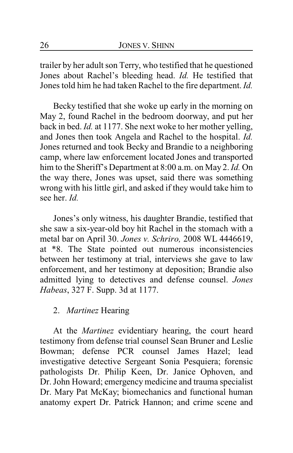trailer by her adult son Terry, who testified that he questioned Jones about Rachel's bleeding head. *Id.* He testified that Jones told him he had taken Rachel to the fire department. *Id.*

Becky testified that she woke up early in the morning on May 2, found Rachel in the bedroom doorway, and put her back in bed. *Id.* at 1177. She next woke to her mother yelling, and Jones then took Angela and Rachel to the hospital. *Id.* Jones returned and took Becky and Brandie to a neighboring camp, where law enforcement located Jones and transported him to the Sheriff's Department at 8:00 a.m. on May 2. *Id.* On the way there, Jones was upset, said there was something wrong with his little girl, and asked if they would take him to see her. *Id.*

Jones's only witness, his daughter Brandie, testified that she saw a six-year-old boy hit Rachel in the stomach with a metal bar on April 30. *Jones v. Schriro,* 2008 WL 4446619, at \*8. The State pointed out numerous inconsistencies between her testimony at trial, interviews she gave to law enforcement, and her testimony at deposition; Brandie also admitted lying to detectives and defense counsel. *Jones Habeas*, 327 F. Supp. 3d at 1177.

### 2. *Martinez* Hearing

At the *Martinez* evidentiary hearing, the court heard testimony from defense trial counsel Sean Bruner and Leslie Bowman; defense PCR counsel James Hazel; lead investigative detective Sergeant Sonia Pesquiera; forensic pathologists Dr. Philip Keen, Dr. Janice Ophoven, and Dr. John Howard; emergency medicine and trauma specialist Dr. Mary Pat McKay; biomechanics and functional human anatomy expert Dr. Patrick Hannon; and crime scene and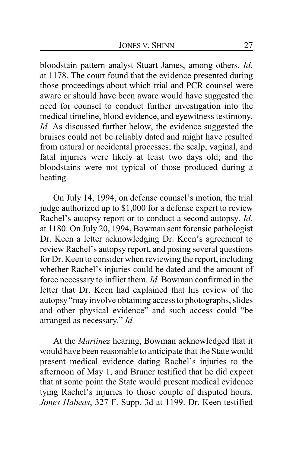bloodstain pattern analyst Stuart James, among others. *Id.* at 1178. The court found that the evidence presented during those proceedings about which trial and PCR counsel were aware or should have been aware would have suggested the need for counsel to conduct further investigation into the medical timeline, blood evidence, and eyewitness testimony. *Id.* As discussed further below, the evidence suggested the bruises could not be reliably dated and might have resulted from natural or accidental processes; the scalp, vaginal, and fatal injuries were likely at least two days old; and the bloodstains were not typical of those produced during a beating.

On July 14, 1994, on defense counsel's motion, the trial judge authorized up to \$1,000 for a defense expert to review Rachel's autopsy report or to conduct a second autopsy. *Id.* at 1180. On July 20, 1994, Bowman sent forensic pathologist Dr. Keen a letter acknowledging Dr. Keen's agreement to review Rachel's autopsy report, and posing several questions for Dr. Keen to consider when reviewing the report, including whether Rachel's injuries could be dated and the amount of force necessary to inflict them. *Id.* Bowman confirmed in the letter that Dr. Keen had explained that his review of the autopsy "may involve obtaining access to photographs, slides and other physical evidence" and such access could "be arranged as necessary." *Id.*

At the *Martinez* hearing, Bowman acknowledged that it would have been reasonable to anticipate that the State would present medical evidence dating Rachel's injuries to the afternoon of May 1, and Bruner testified that he did expect that at some point the State would present medical evidence tying Rachel's injuries to those couple of disputed hours. *Jones Habeas*, 327 F. Supp. 3d at 1199. Dr. Keen testified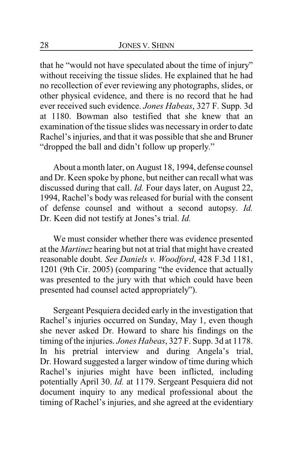that he "would not have speculated about the time of injury" without receiving the tissue slides. He explained that he had no recollection of ever reviewing any photographs, slides, or other physical evidence, and there is no record that he had ever received such evidence. *Jones Habeas*, 327 F. Supp. 3d at 1180. Bowman also testified that she knew that an examination of the tissue slides was necessaryin order to date Rachel's injuries, and that it was possible that she and Bruner "dropped the ball and didn't follow up properly."

About a month later, on August 18, 1994, defense counsel and Dr. Keen spoke by phone, but neither can recall what was discussed during that call. *Id.* Four days later, on August 22, 1994, Rachel's body was released for burial with the consent of defense counsel and without a second autopsy. *Id.* Dr. Keen did not testify at Jones's trial. *Id.*

We must consider whether there was evidence presented at the *Martinez* hearing but not at trial that might have created reasonable doubt. *See Daniels v. Woodford*, 428 F.3d 1181, 1201 (9th Cir. 2005) (comparing "the evidence that actually was presented to the jury with that which could have been presented had counsel acted appropriately").

Sergeant Pesquiera decided early in the investigation that Rachel's injuries occurred on Sunday, May 1, even though she never asked Dr. Howard to share his findings on the timing of the injuries. *Jones Habeas*, 327 F. Supp. 3d at 1178. In his pretrial interview and during Angela's trial, Dr. Howard suggested a larger window of time during which Rachel's injuries might have been inflicted, including potentially April 30. *Id.* at 1179. Sergeant Pesquiera did not document inquiry to any medical professional about the timing of Rachel's injuries, and she agreed at the evidentiary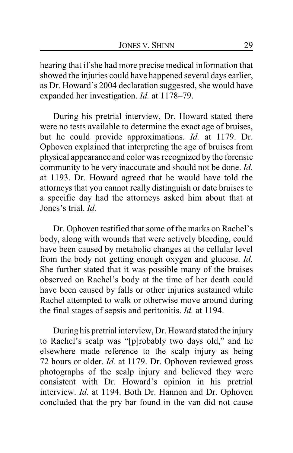hearing that if she had more precise medical information that showed the injuries could have happened several days earlier, as Dr. Howard's 2004 declaration suggested, she would have expanded her investigation. *Id.* at 1178–79.

During his pretrial interview, Dr. Howard stated there were no tests available to determine the exact age of bruises, but he could provide approximations. *Id.* at 1179. Dr. Ophoven explained that interpreting the age of bruises from physical appearance and color was recognized by the forensic community to be very inaccurate and should not be done. *Id.* at 1193. Dr. Howard agreed that he would have told the attorneys that you cannot really distinguish or date bruises to a specific day had the attorneys asked him about that at Jones's trial. *Id.*

Dr. Ophoven testified that some of the marks on Rachel's body, along with wounds that were actively bleeding, could have been caused by metabolic changes at the cellular level from the body not getting enough oxygen and glucose. *Id.* She further stated that it was possible many of the bruises observed on Rachel's body at the time of her death could have been caused by falls or other injuries sustained while Rachel attempted to walk or otherwise move around during the final stages of sepsis and peritonitis. *Id.* at 1194.

During his pretrial interview, Dr. Howard stated the injury to Rachel's scalp was "[p]robably two days old," and he elsewhere made reference to the scalp injury as being 72 hours or older. *Id.* at 1179. Dr. Ophoven reviewed gross photographs of the scalp injury and believed they were consistent with Dr. Howard's opinion in his pretrial interview. *Id.* at 1194. Both Dr. Hannon and Dr. Ophoven concluded that the pry bar found in the van did not cause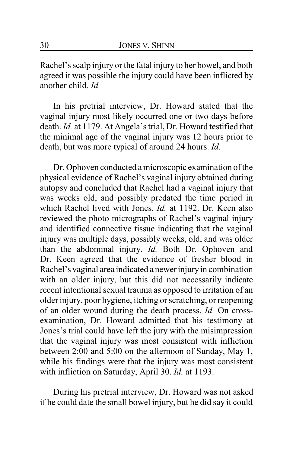Rachel's scalp injury or the fatal injury to her bowel, and both agreed it was possible the injury could have been inflicted by another child. *Id.*

In his pretrial interview, Dr. Howard stated that the vaginal injury most likely occurred one or two days before death. *Id.* at 1179. At Angela's trial, Dr. Howard testified that the minimal age of the vaginal injury was 12 hours prior to death, but was more typical of around 24 hours. *Id.*

Dr. Ophoven conducted a microscopic examination of the physical evidence of Rachel's vaginal injury obtained during autopsy and concluded that Rachel had a vaginal injury that was weeks old, and possibly predated the time period in which Rachel lived with Jones. *Id.* at 1192. Dr. Keen also reviewed the photo micrographs of Rachel's vaginal injury and identified connective tissue indicating that the vaginal injury was multiple days, possibly weeks, old, and was older than the abdominal injury. *Id.* Both Dr. Ophoven and Dr. Keen agreed that the evidence of fresher blood in Rachel's vaginal area indicated a newer injury in combination with an older injury, but this did not necessarily indicate recent intentional sexual trauma as opposed to irritation of an older injury, poor hygiene, itching or scratching, or reopening of an older wound during the death process. *Id.* On crossexamination, Dr. Howard admitted that his testimony at Jones's trial could have left the jury with the misimpression that the vaginal injury was most consistent with infliction between 2:00 and 5:00 on the afternoon of Sunday, May 1, while his findings were that the injury was most consistent with infliction on Saturday, April 30. *Id.* at 1193.

During his pretrial interview, Dr. Howard was not asked if he could date the small bowel injury, but he did say it could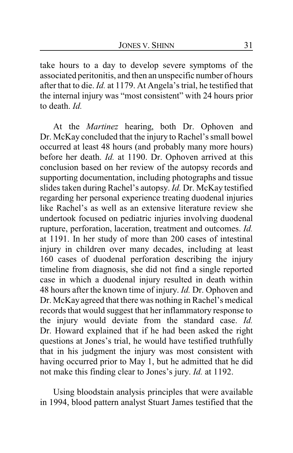take hours to a day to develop severe symptoms of the associated peritonitis, and then an unspecific number of hours after that to die. *Id.* at 1179. At Angela's trial, he testified that the internal injury was "most consistent" with 24 hours prior to death. *Id.*

At the *Martinez* hearing, both Dr. Ophoven and Dr. McKay concluded that the injury to Rachel's small bowel occurred at least 48 hours (and probably many more hours) before her death. *Id.* at 1190. Dr. Ophoven arrived at this conclusion based on her review of the autopsy records and supporting documentation, including photographs and tissue slides taken during Rachel's autopsy. *Id.* Dr. McKay testified regarding her personal experience treating duodenal injuries like Rachel's as well as an extensive literature review she undertook focused on pediatric injuries involving duodenal rupture, perforation, laceration, treatment and outcomes. *Id.* at 1191. In her study of more than 200 cases of intestinal injury in children over many decades, including at least 160 cases of duodenal perforation describing the injury timeline from diagnosis, she did not find a single reported case in which a duodenal injury resulted in death within 48 hours after the known time of injury. *Id.* Dr. Ophoven and Dr. McKay agreed that there was nothing in Rachel's medical records that would suggest that her inflammatory response to the injury would deviate from the standard case. *Id.* Dr. Howard explained that if he had been asked the right questions at Jones's trial, he would have testified truthfully that in his judgment the injury was most consistent with having occurred prior to May 1, but he admitted that he did not make this finding clear to Jones's jury. *Id.* at 1192.

Using bloodstain analysis principles that were available in 1994, blood pattern analyst Stuart James testified that the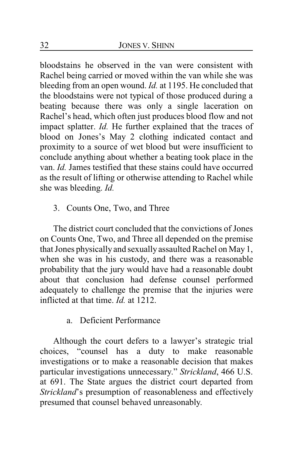bloodstains he observed in the van were consistent with Rachel being carried or moved within the van while she was bleeding from an open wound. *Id.* at 1195. He concluded that the bloodstains were not typical of those produced during a beating because there was only a single laceration on Rachel's head, which often just produces blood flow and not impact splatter. *Id.* He further explained that the traces of blood on Jones's May 2 clothing indicated contact and proximity to a source of wet blood but were insufficient to conclude anything about whether a beating took place in the van. *Id.* James testified that these stains could have occurred as the result of lifting or otherwise attending to Rachel while she was bleeding. *Id.*

### 3. Counts One, Two, and Three

The district court concluded that the convictions of Jones on Counts One, Two, and Three all depended on the premise that Jones physically and sexually assaulted Rachel on May 1, when she was in his custody, and there was a reasonable probability that the jury would have had a reasonable doubt about that conclusion had defense counsel performed adequately to challenge the premise that the injuries were inflicted at that time. *Id.* at 1212.

### a. Deficient Performance

Although the court defers to a lawyer's strategic trial choices, "counsel has a duty to make reasonable investigations or to make a reasonable decision that makes particular investigations unnecessary." *Strickland*, 466 U.S. at 691. The State argues the district court departed from *Strickland*'s presumption of reasonableness and effectively presumed that counsel behaved unreasonably.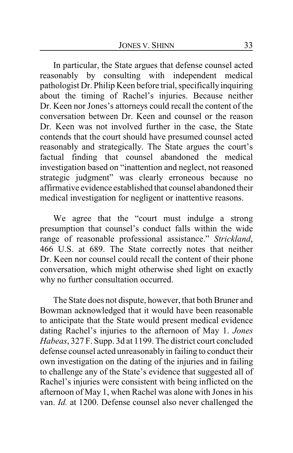In particular, the State argues that defense counsel acted reasonably by consulting with independent medical pathologist Dr. Philip Keen before trial, specificallyinquiring about the timing of Rachel's injuries. Because neither Dr. Keen nor Jones's attorneys could recall the content of the conversation between Dr. Keen and counsel or the reason Dr. Keen was not involved further in the case, the State contends that the court should have presumed counsel acted reasonably and strategically. The State argues the court's factual finding that counsel abandoned the medical investigation based on "inattention and neglect, not reasoned strategic judgment" was clearly erroneous because no affirmative evidence established that counsel abandoned their medical investigation for negligent or inattentive reasons.

We agree that the "court must indulge a strong presumption that counsel's conduct falls within the wide range of reasonable professional assistance." *Strickland*, 466 U.S. at 689. The State correctly notes that neither Dr. Keen nor counsel could recall the content of their phone conversation, which might otherwise shed light on exactly why no further consultation occurred.

The State does not dispute, however, that both Bruner and Bowman acknowledged that it would have been reasonable to anticipate that the State would present medical evidence dating Rachel's injuries to the afternoon of May 1. *Jones Habeas*, 327 F. Supp. 3d at 1199. The district court concluded defense counsel acted unreasonably in failing to conduct their own investigation on the dating of the injuries and in failing to challenge any of the State's evidence that suggested all of Rachel's injuries were consistent with being inflicted on the afternoon of May 1, when Rachel was alone with Jones in his van. *Id.* at 1200. Defense counsel also never challenged the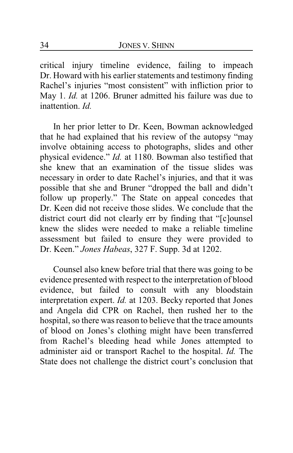critical injury timeline evidence, failing to impeach Dr. Howard with his earlier statements and testimony finding Rachel's injuries "most consistent" with infliction prior to May 1. *Id.* at 1206. Bruner admitted his failure was due to inattention. *Id.*

In her prior letter to Dr. Keen, Bowman acknowledged that he had explained that his review of the autopsy "may involve obtaining access to photographs, slides and other physical evidence." *Id.* at 1180. Bowman also testified that she knew that an examination of the tissue slides was necessary in order to date Rachel's injuries, and that it was possible that she and Bruner "dropped the ball and didn't follow up properly." The State on appeal concedes that Dr. Keen did not receive those slides. We conclude that the district court did not clearly err by finding that "[c]ounsel knew the slides were needed to make a reliable timeline assessment but failed to ensure they were provided to Dr. Keen." *Jones Habeas*, 327 F. Supp. 3d at 1202.

Counsel also knew before trial that there was going to be evidence presented with respect to the interpretation of blood evidence, but failed to consult with any bloodstain interpretation expert. *Id.* at 1203. Becky reported that Jones and Angela did CPR on Rachel, then rushed her to the hospital, so there was reason to believe that the trace amounts of blood on Jones's clothing might have been transferred from Rachel's bleeding head while Jones attempted to administer aid or transport Rachel to the hospital. *Id.* The State does not challenge the district court's conclusion that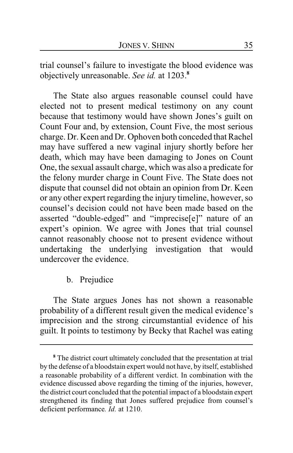trial counsel's failure to investigate the blood evidence was objectively unreasonable. *See id.* at 1203.**<sup>8</sup>**

The State also argues reasonable counsel could have elected not to present medical testimony on any count because that testimony would have shown Jones's guilt on Count Four and, by extension, Count Five, the most serious charge. Dr. Keen and Dr. Ophoven both conceded that Rachel may have suffered a new vaginal injury shortly before her death, which may have been damaging to Jones on Count One, the sexual assault charge, which was also a predicate for the felony murder charge in Count Five. The State does not dispute that counsel did not obtain an opinion from Dr. Keen or any other expert regarding the injury timeline, however, so counsel's decision could not have been made based on the asserted "double-edged" and "imprecise[e]" nature of an expert's opinion. We agree with Jones that trial counsel cannot reasonably choose not to present evidence without undertaking the underlying investigation that would undercover the evidence.

b. Prejudice

The State argues Jones has not shown a reasonable probability of a different result given the medical evidence's imprecision and the strong circumstantial evidence of his guilt. It points to testimony by Becky that Rachel was eating

**<sup>8</sup>** The district court ultimately concluded that the presentation at trial by the defense of a bloodstain expert would not have, by itself, established a reasonable probability of a different verdict. In combination with the evidence discussed above regarding the timing of the injuries, however, the district court concluded that the potential impact of a bloodstain expert strengthened its finding that Jones suffered prejudice from counsel's deficient performance*. Id.* at 1210.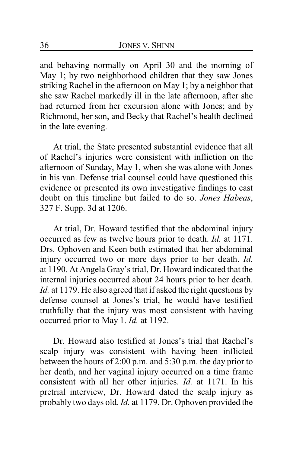and behaving normally on April 30 and the morning of May 1; by two neighborhood children that they saw Jones striking Rachel in the afternoon on May 1; by a neighbor that she saw Rachel markedly ill in the late afternoon, after she had returned from her excursion alone with Jones; and by Richmond, her son, and Becky that Rachel's health declined in the late evening.

At trial, the State presented substantial evidence that all of Rachel's injuries were consistent with infliction on the afternoon of Sunday, May 1, when she was alone with Jones in his van. Defense trial counsel could have questioned this evidence or presented its own investigative findings to cast doubt on this timeline but failed to do so. *Jones Habeas*, 327 F. Supp. 3d at 1206.

At trial, Dr. Howard testified that the abdominal injury occurred as few as twelve hours prior to death. *Id.* at 1171. Drs. Ophoven and Keen both estimated that her abdominal injury occurred two or more days prior to her death. *Id.* at 1190. At Angela Gray's trial, Dr. Howard indicated that the internal injuries occurred about 24 hours prior to her death. *Id.* at 1179. He also agreed that if asked the right questions by defense counsel at Jones's trial, he would have testified truthfully that the injury was most consistent with having occurred prior to May 1. *Id.* at 1192.

Dr. Howard also testified at Jones's trial that Rachel's scalp injury was consistent with having been inflicted between the hours of 2:00 p.m. and 5:30 p.m. the day prior to her death, and her vaginal injury occurred on a time frame consistent with all her other injuries. *Id.* at 1171. In his pretrial interview, Dr. Howard dated the scalp injury as probably two days old. *Id.* at 1179. Dr. Ophoven provided the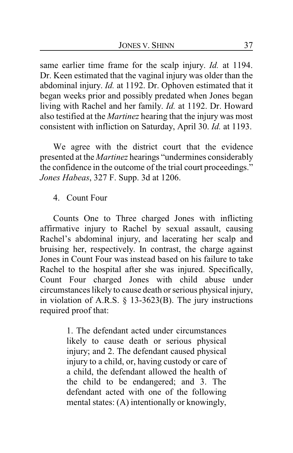same earlier time frame for the scalp injury. *Id.* at 1194. Dr. Keen estimated that the vaginal injury was older than the abdominal injury. *Id.* at 1192. Dr. Ophoven estimated that it began weeks prior and possibly predated when Jones began living with Rachel and her family. *Id.* at 1192. Dr. Howard also testified at the *Martinez* hearing that the injury was most consistent with infliction on Saturday, April 30. *Id.* at 1193.

We agree with the district court that the evidence presented at the *Martinez* hearings "undermines considerably the confidence in the outcome of the trial court proceedings." *Jones Habeas*, 327 F. Supp. 3d at 1206.

### 4. Count Four

Counts One to Three charged Jones with inflicting affirmative injury to Rachel by sexual assault, causing Rachel's abdominal injury, and lacerating her scalp and bruising her, respectively. In contrast, the charge against Jones in Count Four was instead based on his failure to take Rachel to the hospital after she was injured. Specifically, Count Four charged Jones with child abuse under circumstances likely to cause death or serious physical injury, in violation of A.R.S. § 13-3623(B). The jury instructions required proof that:

> 1. The defendant acted under circumstances likely to cause death or serious physical injury; and 2. The defendant caused physical injury to a child, or, having custody or care of a child, the defendant allowed the health of the child to be endangered; and 3. The defendant acted with one of the following mental states: (A) intentionally or knowingly,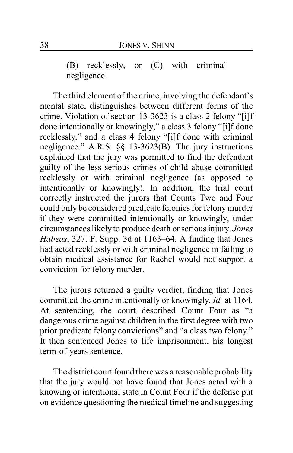(B) recklessly, or (C) with criminal negligence.

The third element of the crime, involving the defendant's mental state, distinguishes between different forms of the crime. Violation of section 13-3623 is a class 2 felony "[i]f done intentionally or knowingly," a class 3 felony "[i]f done recklessly," and a class 4 felony "[i]f done with criminal negligence." A.R.S. §§ 13-3623(B). The jury instructions explained that the jury was permitted to find the defendant guilty of the less serious crimes of child abuse committed recklessly or with criminal negligence (as opposed to intentionally or knowingly). In addition, the trial court correctly instructed the jurors that Counts Two and Four could only be considered predicate felonies for felonymurder if they were committed intentionally or knowingly, under circumstances likely to produce death or serious injury. *Jones Habeas*, 327. F. Supp. 3d at 1163–64. A finding that Jones had acted recklessly or with criminal negligence in failing to obtain medical assistance for Rachel would not support a conviction for felony murder.

The jurors returned a guilty verdict, finding that Jones committed the crime intentionally or knowingly. *Id.* at 1164. At sentencing, the court described Count Four as "a dangerous crime against children in the first degree with two prior predicate felony convictions" and "a class two felony." It then sentenced Jones to life imprisonment, his longest term-of-years sentence.

The district court found there was a reasonable probability that the jury would not have found that Jones acted with a knowing or intentional state in Count Four if the defense put on evidence questioning the medical timeline and suggesting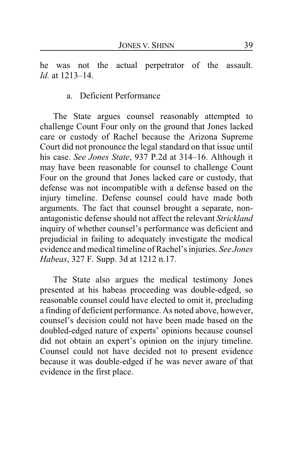he was not the actual perpetrator of the assault. *Id.* at 1213–14.

#### a. Deficient Performance

The State argues counsel reasonably attempted to challenge Count Four only on the ground that Jones lacked care or custody of Rachel because the Arizona Supreme Court did not pronounce the legal standard on that issue until his case. *See Jones State*, 937 P.2d at 314–16. Although it may have been reasonable for counsel to challenge Count Four on the ground that Jones lacked care or custody, that defense was not incompatible with a defense based on the injury timeline. Defense counsel could have made both arguments. The fact that counsel brought a separate, nonantagonistic defense should not affect the relevant *Strickland* inquiry of whether counsel's performance was deficient and prejudicial in failing to adequately investigate the medical evidence and medical timeline of Rachel's injuries. *See Jones Habeas*, 327 F. Supp. 3d at 1212 n.17.

The State also argues the medical testimony Jones presented at his habeas proceeding was double-edged, so reasonable counsel could have elected to omit it, precluding a finding of deficient performance. As noted above, however, counsel's decision could not have been made based on the doubled-edged nature of experts' opinions because counsel did not obtain an expert's opinion on the injury timeline. Counsel could not have decided not to present evidence because it was double-edged if he was never aware of that evidence in the first place.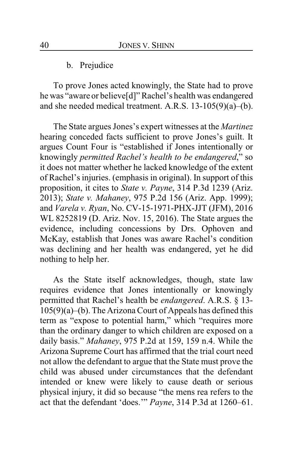b. Prejudice

To prove Jones acted knowingly, the State had to prove he was "aware or believe[d]" Rachel's health was endangered and she needed medical treatment. A.R.S. 13-105(9)(a)–(b).

The State argues Jones's expert witnesses at the *Martinez* hearing conceded facts sufficient to prove Jones's guilt. It argues Count Four is "established if Jones intentionally or knowingly *permitted Rachel's health to be endangered*," so it does not matter whether he lacked knowledge of the extent of Rachel's injuries. (emphasis in original). In support of this proposition, it cites to *State v. Payne*, 314 P.3d 1239 (Ariz. 2013); *State v. Mahaney*, 975 P.2d 156 (Ariz. App. 1999); and *Varela v. Ryan*, No. CV-15-1971-PHX-JJT (JFM), 2016 WL 8252819 (D. Ariz. Nov. 15, 2016). The State argues the evidence, including concessions by Drs. Ophoven and McKay, establish that Jones was aware Rachel's condition was declining and her health was endangered, yet he did nothing to help her.

As the State itself acknowledges, though, state law requires evidence that Jones intentionally or knowingly permitted that Rachel's health be *endangered*. A.R.S. § 13- 105(9)(a)–(b). The Arizona Court of Appeals has defined this term as "expose to potential harm," which "requires more than the ordinary danger to which children are exposed on a daily basis." *Mahaney*, 975 P.2d at 159, 159 n.4. While the Arizona Supreme Court has affirmed that the trial court need not allow the defendant to argue that the State must prove the child was abused under circumstances that the defendant intended or knew were likely to cause death or serious physical injury, it did so because "the mens rea refers to the act that the defendant 'does.'" *Payne*, 314 P.3d at 1260–61.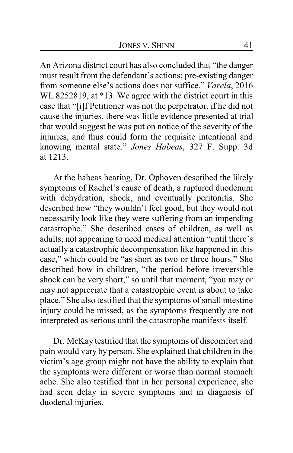An Arizona district court has also concluded that "the danger must result from the defendant's actions; pre-existing danger from someone else's actions does not suffice." *Varela*, 2016 WL 8252819, at \*13. We agree with the district court in this case that "[i]f Petitioner was not the perpetrator, if he did not cause the injuries, there was little evidence presented at trial that would suggest he was put on notice of the severity of the injuries, and thus could form the requisite intentional and knowing mental state." *Jones Habeas*, 327 F. Supp. 3d at 1213.

At the habeas hearing, Dr. Ophoven described the likely symptoms of Rachel's cause of death, a ruptured duodenum with dehydration, shock, and eventually peritonitis. She described how "they wouldn't feel good, but they would not necessarily look like they were suffering from an impending catastrophe." She described cases of children, as well as adults, not appearing to need medical attention "until there's actually a catastrophic decompensation like happened in this case," which could be "as short as two or three hours." She described how in children, "the period before irreversible shock can be very short," so until that moment, "you may or may not appreciate that a catastrophic event is about to take place." She also testified that the symptoms of small intestine injury could be missed, as the symptoms frequently are not interpreted as serious until the catastrophe manifests itself.

Dr. McKay testified that the symptoms of discomfort and pain would vary by person. She explained that children in the victim's age group might not have the ability to explain that the symptoms were different or worse than normal stomach ache. She also testified that in her personal experience, she had seen delay in severe symptoms and in diagnosis of duodenal injuries.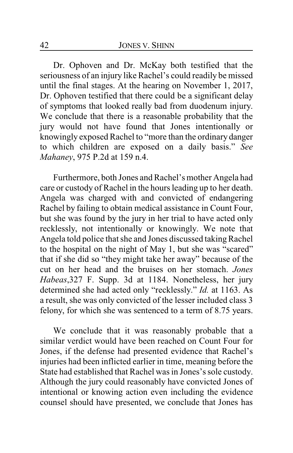Dr. Ophoven and Dr. McKay both testified that the seriousness of an injury like Rachel's could readily be missed until the final stages. At the hearing on November 1, 2017, Dr. Ophoven testified that there could be a significant delay of symptoms that looked really bad from duodenum injury. We conclude that there is a reasonable probability that the jury would not have found that Jones intentionally or knowingly exposed Rachel to "more than the ordinary danger to which children are exposed on a daily basis." *See Mahaney*, 975 P.2d at 159 n.4.

Furthermore, both Jones and Rachel's mother Angela had care or custody of Rachel in the hours leading up to her death. Angela was charged with and convicted of endangering Rachel by failing to obtain medical assistance in Count Four, but she was found by the jury in her trial to have acted only recklessly, not intentionally or knowingly. We note that Angela told police that she and Jones discussed taking Rachel to the hospital on the night of May 1, but she was "scared" that if she did so "they might take her away" because of the cut on her head and the bruises on her stomach. *Jones Habeas*,327 F. Supp. 3d at 1184. Nonetheless, her jury determined she had acted only "recklessly." *Id.* at 1163. As a result, she was only convicted of the lesser included class 3 felony, for which she was sentenced to a term of 8.75 years.

We conclude that it was reasonably probable that a similar verdict would have been reached on Count Four for Jones, if the defense had presented evidence that Rachel's injuries had been inflicted earlier in time, meaning before the State had established that Rachel was in Jones's sole custody. Although the jury could reasonably have convicted Jones of intentional or knowing action even including the evidence counsel should have presented, we conclude that Jones has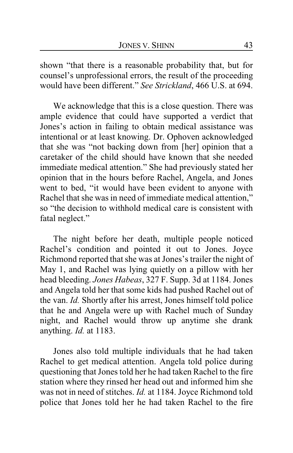shown "that there is a reasonable probability that, but for counsel's unprofessional errors, the result of the proceeding would have been different." *See Strickland*, 466 U.S. at 694.

We acknowledge that this is a close question. There was ample evidence that could have supported a verdict that Jones's action in failing to obtain medical assistance was intentional or at least knowing. Dr. Ophoven acknowledged that she was "not backing down from [her] opinion that a caretaker of the child should have known that she needed immediate medical attention." She had previously stated her opinion that in the hours before Rachel, Angela, and Jones went to bed, "it would have been evident to anyone with Rachel that she was in need of immediate medical attention," so "the decision to withhold medical care is consistent with fatal neglect."

The night before her death, multiple people noticed Rachel's condition and pointed it out to Jones. Joyce Richmond reported that she was at Jones's trailer the night of May 1, and Rachel was lying quietly on a pillow with her head bleeding. *Jones Habeas*, 327 F. Supp. 3d at 1184. Jones and Angela told her that some kids had pushed Rachel out of the van. *Id.* Shortly after his arrest, Jones himself told police that he and Angela were up with Rachel much of Sunday night, and Rachel would throw up anytime she drank anything. *Id.* at 1183.

Jones also told multiple individuals that he had taken Rachel to get medical attention. Angela told police during questioning that Jones told her he had taken Rachel to the fire station where they rinsed her head out and informed him she was not in need of stitches. *Id.* at 1184. Joyce Richmond told police that Jones told her he had taken Rachel to the fire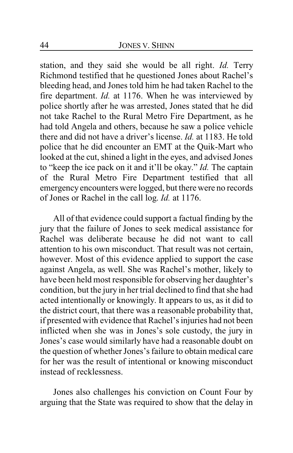station, and they said she would be all right. *Id.* Terry Richmond testified that he questioned Jones about Rachel's bleeding head, and Jones told him he had taken Rachel to the fire department. *Id.* at 1176. When he was interviewed by police shortly after he was arrested, Jones stated that he did not take Rachel to the Rural Metro Fire Department, as he had told Angela and others, because he saw a police vehicle there and did not have a driver's license. *Id.* at 1183. He told police that he did encounter an EMT at the Quik-Mart who looked at the cut, shined a light in the eyes, and advised Jones to "keep the ice pack on it and it'll be okay." *Id.* The captain of the Rural Metro Fire Department testified that all emergency encounters were logged, but there were no records of Jones or Rachel in the call log. *Id.* at 1176.

All of that evidence could support a factual finding by the jury that the failure of Jones to seek medical assistance for Rachel was deliberate because he did not want to call attention to his own misconduct. That result was not certain, however. Most of this evidence applied to support the case against Angela, as well. She was Rachel's mother, likely to have been held most responsible for observing her daughter's condition, but the jury in her trial declined to find that she had acted intentionally or knowingly. It appears to us, as it did to the district court, that there was a reasonable probability that, if presented with evidence that Rachel's injuries had not been inflicted when she was in Jones's sole custody, the jury in Jones's case would similarly have had a reasonable doubt on the question of whether Jones's failure to obtain medical care for her was the result of intentional or knowing misconduct instead of recklessness.

Jones also challenges his conviction on Count Four by arguing that the State was required to show that the delay in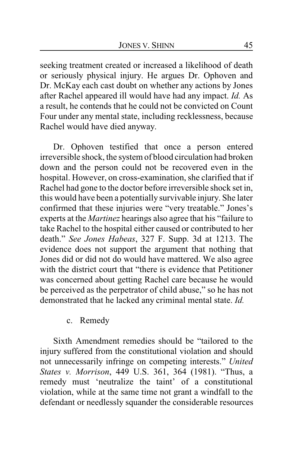seeking treatment created or increased a likelihood of death or seriously physical injury. He argues Dr. Ophoven and Dr. McKay each cast doubt on whether any actions by Jones after Rachel appeared ill would have had any impact. *Id.* As a result, he contends that he could not be convicted on Count Four under any mental state, including recklessness, because Rachel would have died anyway.

Dr. Ophoven testified that once a person entered irreversible shock, the system of blood circulation had broken down and the person could not be recovered even in the hospital. However, on cross-examination, she clarified that if Rachel had gone to the doctor before irreversible shock set in, this would have been a potentially survivable injury. She later confirmed that these injuries were "very treatable." Jones's experts at the *Martinez* hearings also agree that his "failure to take Rachel to the hospital either caused or contributed to her death." *See Jones Habeas*, 327 F. Supp. 3d at 1213. The evidence does not support the argument that nothing that Jones did or did not do would have mattered. We also agree with the district court that "there is evidence that Petitioner was concerned about getting Rachel care because he would be perceived as the perpetrator of child abuse," so he has not demonstrated that he lacked any criminal mental state. *Id.*

### c. Remedy

Sixth Amendment remedies should be "tailored to the injury suffered from the constitutional violation and should not unnecessarily infringe on competing interests." *United States v. Morrison*, 449 U.S. 361, 364 (1981). "Thus, a remedy must 'neutralize the taint' of a constitutional violation, while at the same time not grant a windfall to the defendant or needlessly squander the considerable resources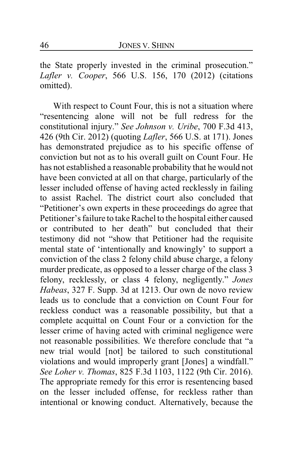the State properly invested in the criminal prosecution." *Lafler v. Cooper*, 566 U.S. 156, 170 (2012) (citations omitted).

With respect to Count Four, this is not a situation where "resentencing alone will not be full redress for the constitutional injury." *See Johnson v. Uribe*, 700 F.3d 413, 426 (9th Cir. 2012) (quoting *Lafler*, 566 U.S. at 171). Jones has demonstrated prejudice as to his specific offense of conviction but not as to his overall guilt on Count Four. He has not established a reasonable probability that he would not have been convicted at all on that charge, particularly of the lesser included offense of having acted recklessly in failing to assist Rachel. The district court also concluded that "Petitioner's own experts in these proceedings do agree that Petitioner's failure to take Rachel to the hospital either caused or contributed to her death" but concluded that their testimony did not "show that Petitioner had the requisite mental state of 'intentionally and knowingly' to support a conviction of the class 2 felony child abuse charge, a felony murder predicate, as opposed to a lesser charge of the class 3 felony, recklessly, or class 4 felony, negligently." *Jones Habeas*, 327 F. Supp. 3d at 1213. Our own de novo review leads us to conclude that a conviction on Count Four for reckless conduct was a reasonable possibility, but that a complete acquittal on Count Four or a conviction for the lesser crime of having acted with criminal negligence were not reasonable possibilities. We therefore conclude that "a new trial would [not] be tailored to such constitutional violations and would improperly grant [Jones] a windfall." *See Loher v. Thomas*, 825 F.3d 1103, 1122 (9th Cir. 2016). The appropriate remedy for this error is resentencing based on the lesser included offense, for reckless rather than intentional or knowing conduct. Alternatively, because the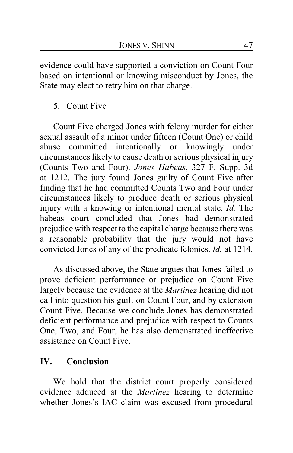evidence could have supported a conviction on Count Four based on intentional or knowing misconduct by Jones, the State may elect to retry him on that charge.

# 5. Count Five

Count Five charged Jones with felony murder for either sexual assault of a minor under fifteen (Count One) or child abuse committed intentionally or knowingly under circumstances likely to cause death or serious physical injury (Counts Two and Four). *Jones Habeas*, 327 F. Supp. 3d at 1212. The jury found Jones guilty of Count Five after finding that he had committed Counts Two and Four under circumstances likely to produce death or serious physical injury with a knowing or intentional mental state. *Id.* The habeas court concluded that Jones had demonstrated prejudice with respect to the capital charge because there was a reasonable probability that the jury would not have convicted Jones of any of the predicate felonies. *Id.* at 1214.

As discussed above, the State argues that Jones failed to prove deficient performance or prejudice on Count Five largely because the evidence at the *Martinez* hearing did not call into question his guilt on Count Four, and by extension Count Five. Because we conclude Jones has demonstrated deficient performance and prejudice with respect to Counts One, Two, and Four, he has also demonstrated ineffective assistance on Count Five.

# **IV. Conclusion**

We hold that the district court properly considered evidence adduced at the *Martinez* hearing to determine whether Jones's IAC claim was excused from procedural